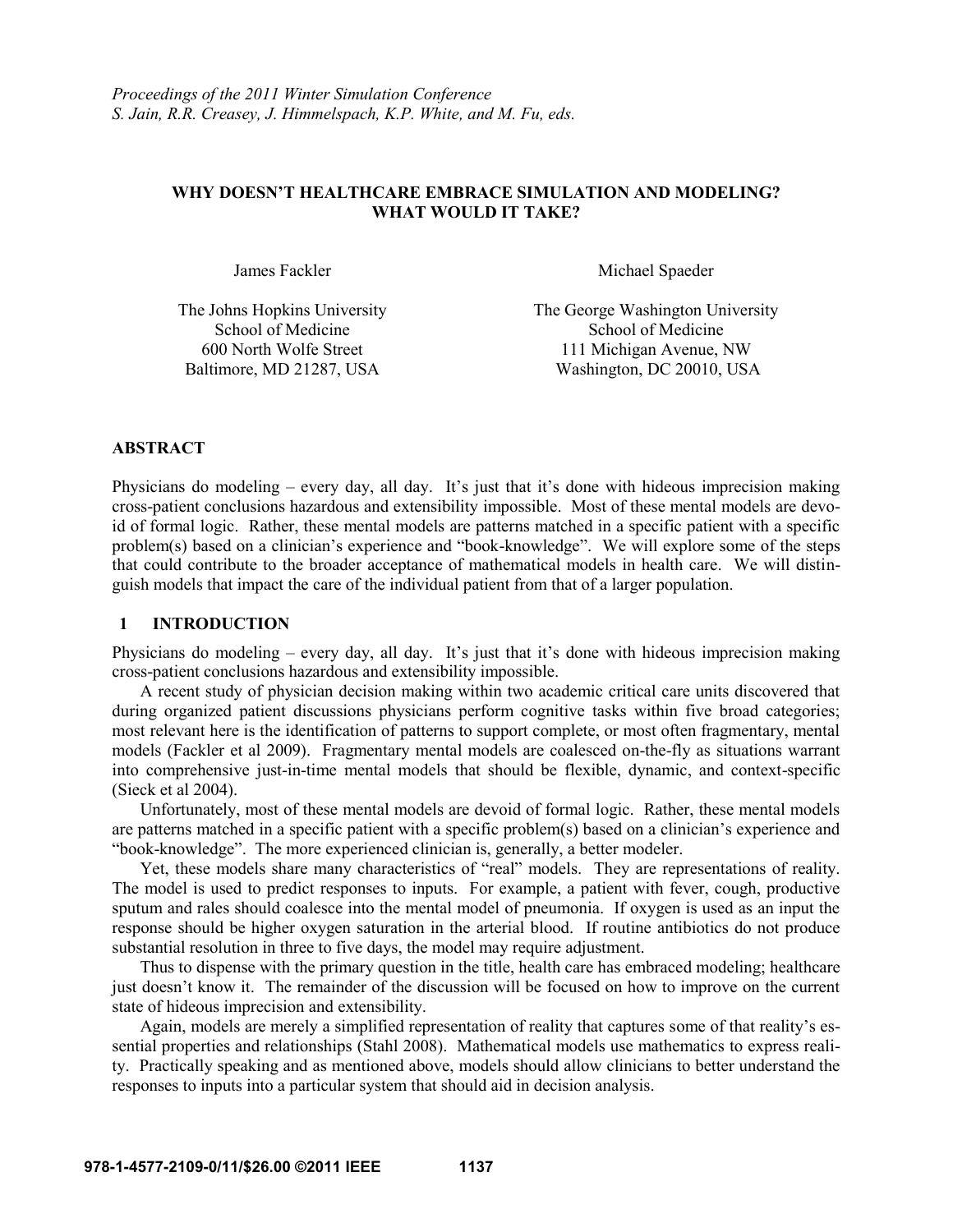# **WHY DOESN'T HEALTHCARE EMBRACE SIMULATION AND MODELING? WHAT WOULD IT TAKE?**

The Johns Hopkins University School of Medicine

James Fackler Michael Spaeder

The George Washington University School of Medicine 600 North Wolfe Street 111 Michigan Avenue, NW Baltimore, MD 21287, USA Washington, DC 20010, USA

# **ABSTRACT**

Physicians do modeling – every day, all day. It's just that it's done with hideous imprecision making cross-patient conclusions hazardous and extensibility impossible. Most of these mental models are devoid of formal logic. Rather, these mental models are patterns matched in a specific patient with a specific problem(s) based on a clinician's experience and "book-knowledge". We will explore some of the steps that could contribute to the broader acceptance of mathematical models in health care. We will distinguish models that impact the care of the individual patient from that of a larger population.

### **1 INTRODUCTION**

Physicians do modeling – every day, all day. It's just that it's done with hideous imprecision making cross-patient conclusions hazardous and extensibility impossible.

A recent study of physician decision making within two academic critical care units discovered that during organized patient discussions physicians perform cognitive tasks within five broad categories; most relevant here is the identification of patterns to support complete, or most often fragmentary, mental models (Fackler et al 2009). Fragmentary mental models are coalesced on-the-fly as situations warrant into comprehensive just-in-time mental models that should be flexible, dynamic, and context-specific (Sieck et al 2004).

Unfortunately, most of these mental models are devoid of formal logic. Rather, these mental models are patterns matched in a specific patient with a specific problem(s) based on a clinician's experience and "book-knowledge". The more experienced clinician is, generally, a better modeler.

Yet, these models share many characteristics of "real" models. They are representations of reality. The model is used to predict responses to inputs. For example, a patient with fever, cough, productive sputum and rales should coalesce into the mental model of pneumonia. If oxygen is used as an input the response should be higher oxygen saturation in the arterial blood. If routine antibiotics do not produce substantial resolution in three to five days, the model may require adjustment.

Thus to dispense with the primary question in the title, health care has embraced modeling; healthcare just doesn't know it. The remainder of the discussion will be focused on how to improve on the current state of hideous imprecision and extensibility.

Again, models are merely a simplified representation of reality that captures some of that reality's essential properties and relationships (Stahl 2008). Mathematical models use mathematics to express reality. Practically speaking and as mentioned above, models should allow clinicians to better understand the responses to inputs into a particular system that should aid in decision analysis.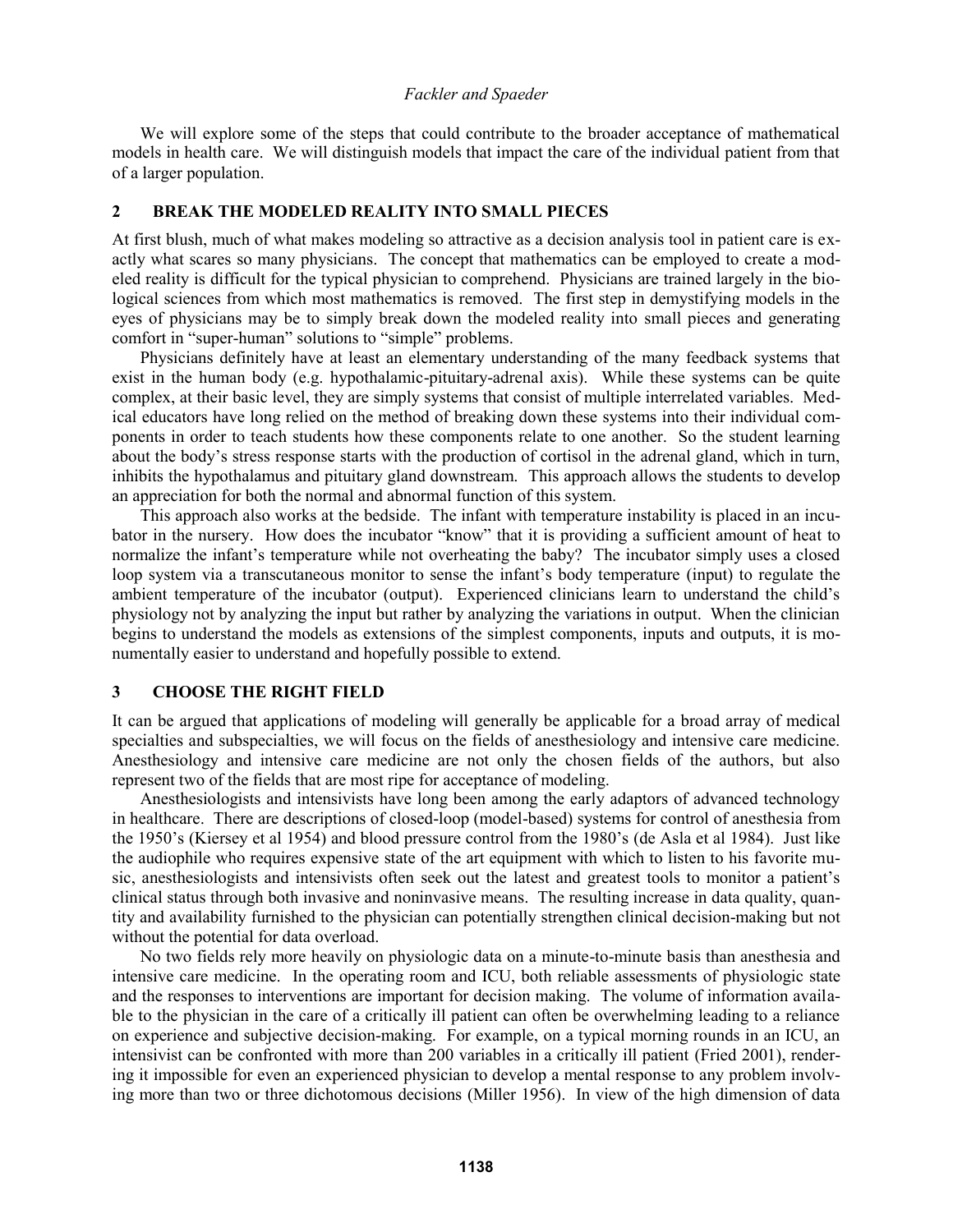We will explore some of the steps that could contribute to the broader acceptance of mathematical models in health care. We will distinguish models that impact the care of the individual patient from that of a larger population.

#### **2 BREAK THE MODELED REALITY INTO SMALL PIECES**

At first blush, much of what makes modeling so attractive as a decision analysis tool in patient care is exactly what scares so many physicians. The concept that mathematics can be employed to create a modeled reality is difficult for the typical physician to comprehend. Physicians are trained largely in the biological sciences from which most mathematics is removed. The first step in demystifying models in the eyes of physicians may be to simply break down the modeled reality into small pieces and generating comfort in "super-human" solutions to "simple" problems.

Physicians definitely have at least an elementary understanding of the many feedback systems that exist in the human body (e.g. hypothalamic-pituitary-adrenal axis). While these systems can be quite complex, at their basic level, they are simply systems that consist of multiple interrelated variables. Medical educators have long relied on the method of breaking down these systems into their individual components in order to teach students how these components relate to one another. So the student learning about the body's stress response starts with the production of cortisol in the adrenal gland, which in turn, inhibits the hypothalamus and pituitary gland downstream. This approach allows the students to develop an appreciation for both the normal and abnormal function of this system.

This approach also works at the bedside. The infant with temperature instability is placed in an incubator in the nursery. How does the incubator "know" that it is providing a sufficient amount of heat to normalize the infant's temperature while not overheating the baby? The incubator simply uses a closed loop system via a transcutaneous monitor to sense the infant's body temperature (input) to regulate the ambient temperature of the incubator (output). Experienced clinicians learn to understand the child's physiology not by analyzing the input but rather by analyzing the variations in output. When the clinician begins to understand the models as extensions of the simplest components, inputs and outputs, it is monumentally easier to understand and hopefully possible to extend.

# **3 CHOOSE THE RIGHT FIELD**

It can be argued that applications of modeling will generally be applicable for a broad array of medical specialties and subspecialties, we will focus on the fields of anesthesiology and intensive care medicine. Anesthesiology and intensive care medicine are not only the chosen fields of the authors, but also represent two of the fields that are most ripe for acceptance of modeling.

Anesthesiologists and intensivists have long been among the early adaptors of advanced technology in healthcare. There are descriptions of closed-loop (model-based) systems for control of anesthesia from the 1950's (Kiersey et al 1954) and blood pressure control from the 1980's (de Asla et al 1984). Just like the audiophile who requires expensive state of the art equipment with which to listen to his favorite music, anesthesiologists and intensivists often seek out the latest and greatest tools to monitor a patient's clinical status through both invasive and noninvasive means. The resulting increase in data quality, quantity and availability furnished to the physician can potentially strengthen clinical decision-making but not without the potential for data overload.

No two fields rely more heavily on physiologic data on a minute-to-minute basis than anesthesia and intensive care medicine. In the operating room and ICU, both reliable assessments of physiologic state and the responses to interventions are important for decision making. The volume of information available to the physician in the care of a critically ill patient can often be overwhelming leading to a reliance on experience and subjective decision-making. For example, on a typical morning rounds in an ICU, an intensivist can be confronted with more than 200 variables in a critically ill patient (Fried 2001), rendering it impossible for even an experienced physician to develop a mental response to any problem involving more than two or three dichotomous decisions (Miller 1956). In view of the high dimension of data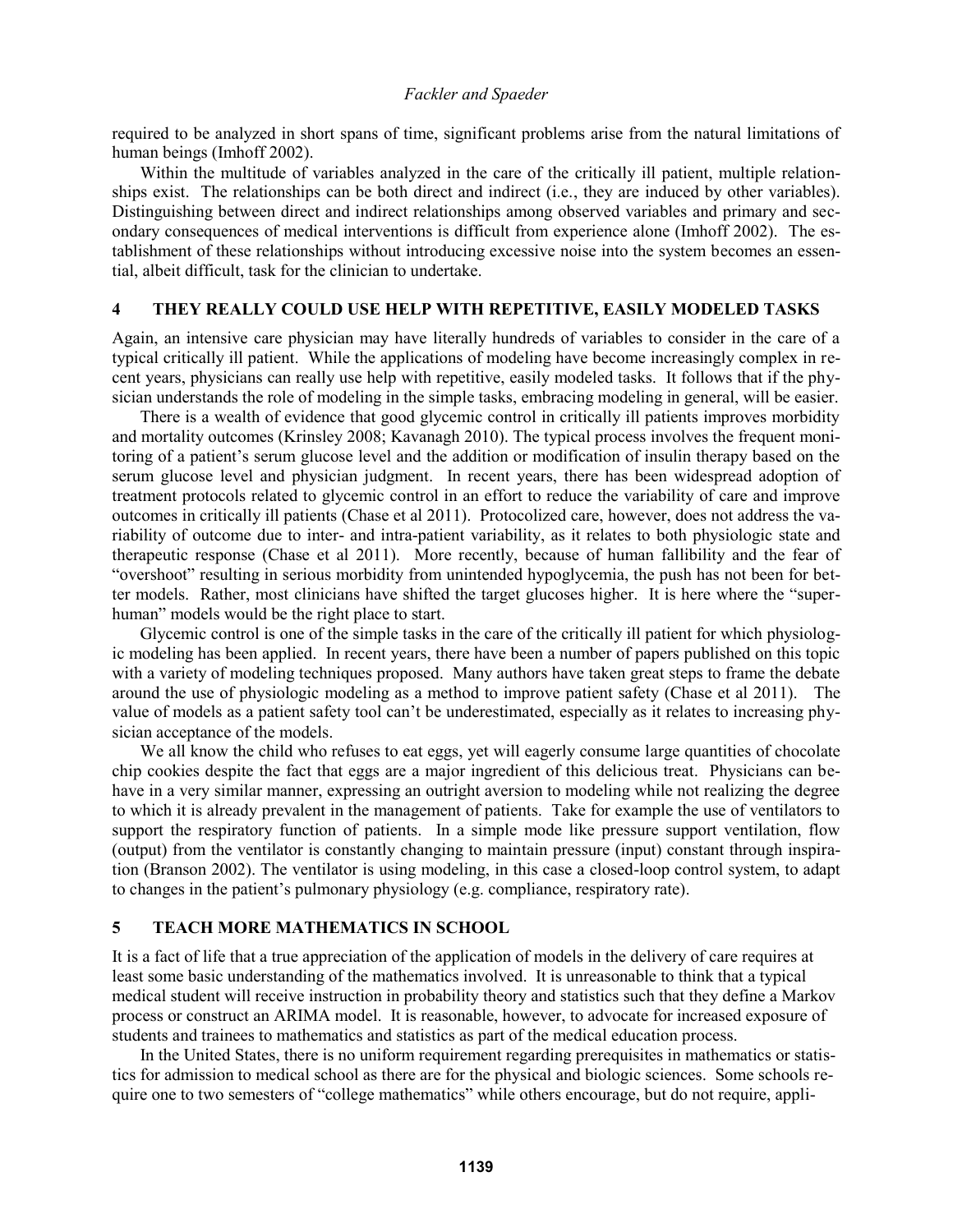required to be analyzed in short spans of time, significant problems arise from the natural limitations of human beings (Imhoff 2002).

Within the multitude of variables analyzed in the care of the critically ill patient, multiple relationships exist. The relationships can be both direct and indirect (i.e., they are induced by other variables). Distinguishing between direct and indirect relationships among observed variables and primary and secondary consequences of medical interventions is difficult from experience alone (Imhoff 2002). The establishment of these relationships without introducing excessive noise into the system becomes an essential, albeit difficult, task for the clinician to undertake.

### **4 THEY REALLY COULD USE HELP WITH REPETITIVE, EASILY MODELED TASKS**

Again, an intensive care physician may have literally hundreds of variables to consider in the care of a typical critically ill patient. While the applications of modeling have become increasingly complex in recent years, physicians can really use help with repetitive, easily modeled tasks. It follows that if the physician understands the role of modeling in the simple tasks, embracing modeling in general, will be easier.

There is a wealth of evidence that good glycemic control in critically ill patients improves morbidity and mortality outcomes (Krinsley 2008; Kavanagh 2010). The typical process involves the frequent monitoring of a patient's serum glucose level and the addition or modification of insulin therapy based on the serum glucose level and physician judgment. In recent years, there has been widespread adoption of treatment protocols related to glycemic control in an effort to reduce the variability of care and improve outcomes in critically ill patients (Chase et al 2011). Protocolized care, however, does not address the variability of outcome due to inter- and intra-patient variability, as it relates to both physiologic state and therapeutic response (Chase et al 2011). More recently, because of human fallibility and the fear of "overshoot" resulting in serious morbidity from unintended hypoglycemia, the push has not been for better models. Rather, most clinicians have shifted the target glucoses higher. It is here where the "superhuman" models would be the right place to start.

Glycemic control is one of the simple tasks in the care of the critically ill patient for which physiologic modeling has been applied. In recent years, there have been a number of papers published on this topic with a variety of modeling techniques proposed. Many authors have taken great steps to frame the debate around the use of physiologic modeling as a method to improve patient safety (Chase et al 2011). The value of models as a patient safety tool can't be underestimated, especially as it relates to increasing physician acceptance of the models.

We all know the child who refuses to eat eggs, yet will eagerly consume large quantities of chocolate chip cookies despite the fact that eggs are a major ingredient of this delicious treat. Physicians can behave in a very similar manner, expressing an outright aversion to modeling while not realizing the degree to which it is already prevalent in the management of patients. Take for example the use of ventilators to support the respiratory function of patients. In a simple mode like pressure support ventilation, flow (output) from the ventilator is constantly changing to maintain pressure (input) constant through inspiration (Branson 2002). The ventilator is using modeling, in this case a closed-loop control system, to adapt to changes in the patient's pulmonary physiology (e.g. compliance, respiratory rate).

#### **5 TEACH MORE MATHEMATICS IN SCHOOL**

It is a fact of life that a true appreciation of the application of models in the delivery of care requires at least some basic understanding of the mathematics involved. It is unreasonable to think that a typical medical student will receive instruction in probability theory and statistics such that they define a Markov process or construct an ARIMA model. It is reasonable, however, to advocate for increased exposure of students and trainees to mathematics and statistics as part of the medical education process.

In the United States, there is no uniform requirement regarding prerequisites in mathematics or statistics for admission to medical school as there are for the physical and biologic sciences. Some schools require one to two semesters of "college mathematics" while others encourage, but do not require, appli-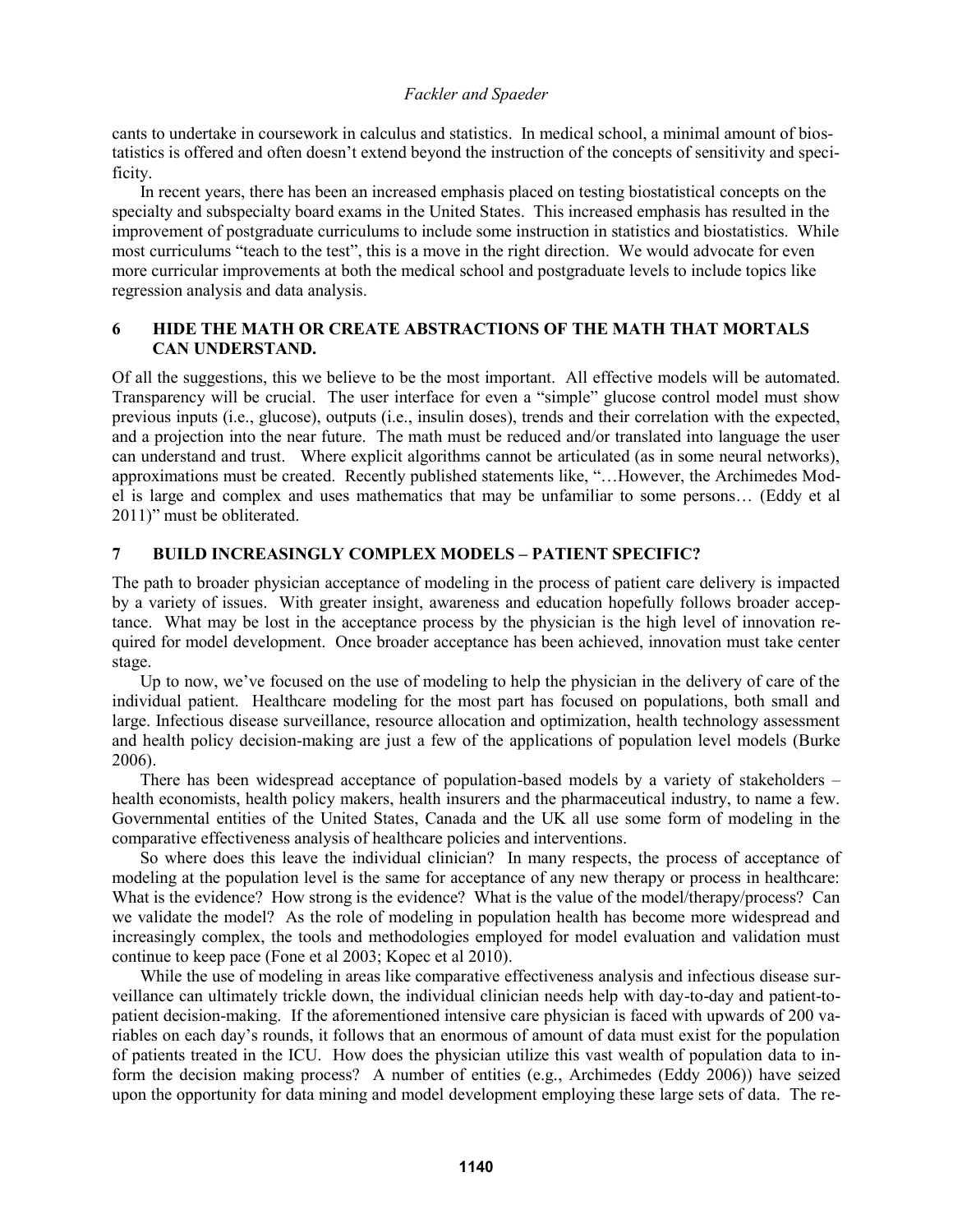cants to undertake in coursework in calculus and statistics. In medical school, a minimal amount of biostatistics is offered and often doesn't extend beyond the instruction of the concepts of sensitivity and specificity.

In recent years, there has been an increased emphasis placed on testing biostatistical concepts on the specialty and subspecialty board exams in the United States. This increased emphasis has resulted in the improvement of postgraduate curriculums to include some instruction in statistics and biostatistics. While most curriculums "teach to the test", this is a move in the right direction. We would advocate for even more curricular improvements at both the medical school and postgraduate levels to include topics like regression analysis and data analysis.

# **6 HIDE THE MATH OR CREATE ABSTRACTIONS OF THE MATH THAT MORTALS CAN UNDERSTAND.**

Of all the suggestions, this we believe to be the most important. All effective models will be automated. Transparency will be crucial. The user interface for even a "simple" glucose control model must show previous inputs (i.e., glucose), outputs (i.e., insulin doses), trends and their correlation with the expected, and a projection into the near future. The math must be reduced and/or translated into language the user can understand and trust. Where explicit algorithms cannot be articulated (as in some neural networks), approximations must be created. Recently published statements like, "…However, the Archimedes Model is large and complex and uses mathematics that may be unfamiliar to some persons… (Eddy et al 2011)" must be obliterated.

# **7 BUILD INCREASINGLY COMPLEX MODELS – PATIENT SPECIFIC?**

The path to broader physician acceptance of modeling in the process of patient care delivery is impacted by a variety of issues. With greater insight, awareness and education hopefully follows broader acceptance. What may be lost in the acceptance process by the physician is the high level of innovation required for model development. Once broader acceptance has been achieved, innovation must take center stage.

Up to now, we've focused on the use of modeling to help the physician in the delivery of care of the individual patient. Healthcare modeling for the most part has focused on populations, both small and large. Infectious disease surveillance, resource allocation and optimization, health technology assessment and health policy decision-making are just a few of the applications of population level models (Burke 2006).

There has been widespread acceptance of population-based models by a variety of stakeholders – health economists, health policy makers, health insurers and the pharmaceutical industry, to name a few. Governmental entities of the United States, Canada and the UK all use some form of modeling in the comparative effectiveness analysis of healthcare policies and interventions.

So where does this leave the individual clinician? In many respects, the process of acceptance of modeling at the population level is the same for acceptance of any new therapy or process in healthcare: What is the evidence? How strong is the evidence? What is the value of the model/therapy/process? Can we validate the model? As the role of modeling in population health has become more widespread and increasingly complex, the tools and methodologies employed for model evaluation and validation must continue to keep pace (Fone et al 2003; Kopec et al 2010).

While the use of modeling in areas like comparative effectiveness analysis and infectious disease surveillance can ultimately trickle down, the individual clinician needs help with day-to-day and patient-topatient decision-making. If the aforementioned intensive care physician is faced with upwards of 200 variables on each day's rounds, it follows that an enormous of amount of data must exist for the population of patients treated in the ICU. How does the physician utilize this vast wealth of population data to inform the decision making process? A number of entities (e.g., Archimedes (Eddy 2006)) have seized upon the opportunity for data mining and model development employing these large sets of data. The re-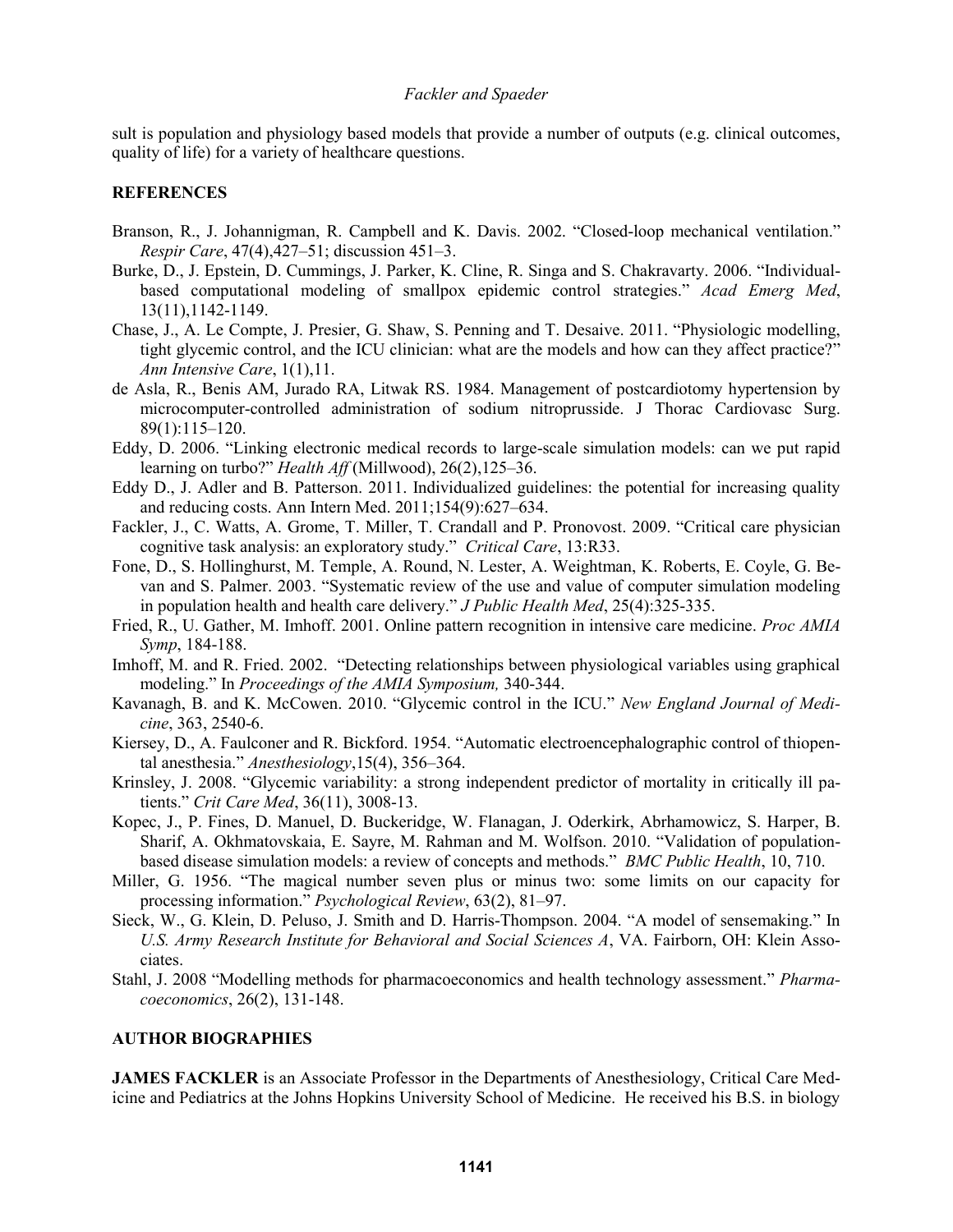sult is population and physiology based models that provide a number of outputs (e.g. clinical outcomes, quality of life) for a variety of healthcare questions.

# **REFERENCES**

- Branson, R., J. Johannigman, R. Campbell and K. Davis. 2002. "Closed-loop mechanical ventilation." *Respir Care*, 47(4),427–51; discussion 451–3.
- Burke, D., J. Epstein, D. Cummings, J. Parker, K. Cline, R. Singa and S. Chakravarty. 2006. "Individualbased computational modeling of smallpox epidemic control strategies." *Acad Emerg Med*, 13(11),1142-1149.
- Chase, J., A. Le Compte, J. Presier, G. Shaw, S. Penning and T. Desaive. 2011. "Physiologic modelling, tight glycemic control, and the ICU clinician: what are the models and how can they affect practice?" *Ann Intensive Care*, 1(1),11.
- de Asla, R., Benis AM, Jurado RA, Litwak RS. 1984. Management of postcardiotomy hypertension by microcomputer-controlled administration of sodium nitroprusside. J Thorac Cardiovasc Surg. 89(1):115–120.
- Eddy, D. 2006. "Linking electronic medical records to large-scale simulation models: can we put rapid learning on turbo?" *Health Aff* (Millwood), 26(2),125–36.
- Eddy D., J. Adler and B. Patterson. 2011. Individualized guidelines: the potential for increasing quality and reducing costs. Ann Intern Med. 2011;154(9):627–634.
- Fackler, J., C. Watts, A. Grome, T. Miller, T. Crandall and P. Pronovost. 2009. "Critical care physician cognitive task analysis: an exploratory study." *Critical Care*, 13:R33.
- Fone, D., S. Hollinghurst, M. Temple, A. Round, N. Lester, A. Weightman, K. Roberts, E. Coyle, G. Bevan and S. Palmer. 2003. "Systematic review of the use and value of computer simulation modeling in population health and health care delivery." *J Public Health Med*, 25(4):325-335.
- Fried, R., U. Gather, M. Imhoff. 2001. Online pattern recognition in intensive care medicine. *Proc AMIA Symp*, 184-188.
- Imhoff, M. and R. Fried. 2002. "Detecting relationships between physiological variables using graphical modeling." In *Proceedings of the AMIA Symposium,* 340-344.
- Kavanagh, B. and K. McCowen. 2010. "Glycemic control in the ICU." *New England Journal of Medicine*, 363, 2540-6.
- Kiersey, D., A. Faulconer and R. Bickford. 1954. "Automatic electroencephalographic control of thiopental anesthesia." *Anesthesiology*,15(4), 356–364.
- Krinsley, J. 2008. "Glycemic variability: a strong independent predictor of mortality in critically ill patients." *Crit Care Med*, 36(11), 3008-13.
- Kopec, J., P. Fines, D. Manuel, D. Buckeridge, W. Flanagan, J. Oderkirk, Abrhamowicz, S. Harper, B. Sharif, A. Okhmatovskaia, E. Sayre, M. Rahman and M. Wolfson. 2010. "Validation of populationbased disease simulation models: a review of concepts and methods." *BMC Public Health*, 10, 710.
- Miller, G. 1956. "The magical number seven plus or minus two: some limits on our capacity for processing information." *Psychological Review*, 63(2), 81–97.
- Sieck, W., G. Klein, D. Peluso, J. Smith and D. Harris-Thompson. 2004. "A model of sensemaking." In *U.S. Army Research Institute for Behavioral and Social Sciences A*, VA. Fairborn, OH: Klein Associates.
- Stahl, J. 2008 "Modelling methods for pharmacoeconomics and health technology assessment." *Pharmacoeconomics*, 26(2), 131-148.

#### **AUTHOR BIOGRAPHIES**

**JAMES FACKLER** is an Associate Professor in the Departments of Anesthesiology, Critical Care Medicine and Pediatrics at the Johns Hopkins University School of Medicine. He received his B.S. in biology